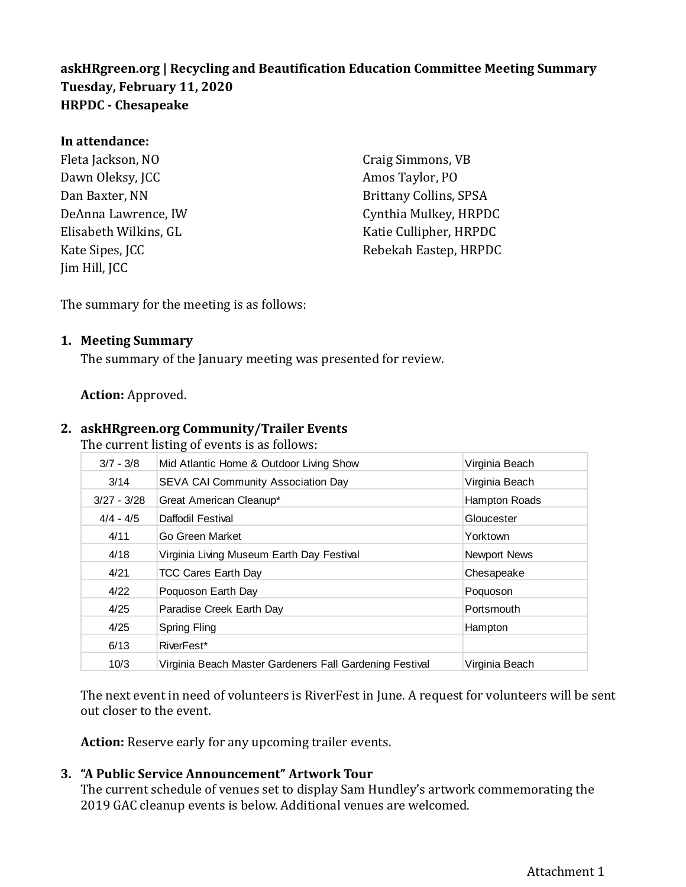# **askHRgreen.org | Recycling and Beautification Education Committee Meeting Summary Tuesday, February 11, 2020 HRPDC - Chesapeake**

#### **In attendance:**

Fleta Jackson, NO Dawn Oleksy, JCC Dan Baxter, NN DeAnna Lawrence, IW Elisabeth Wilkins, GL Kate Sipes, JCC Jim Hill, JCC

Craig Simmons, VB Amos Taylor, PO Brittany Collins, SPSA Cynthia Mulkey, HRPDC Katie Cullipher, HRPDC Rebekah Eastep, HRPDC

The summary for the meeting is as follows:

#### **1. Meeting Summary**

The summary of the January meeting was presented for review.

#### **Action:** Approved.

#### **2. askHRgreen.org Community/Trailer Events**

The current listing of events is as follows:

| $3/7 - 3/8$              | Mid Atlantic Home & Outdoor Living Show                                                                                                                                                                    | Virginia Beach |
|--------------------------|------------------------------------------------------------------------------------------------------------------------------------------------------------------------------------------------------------|----------------|
| 3/14                     | SEVA CAI Community Association Day                                                                                                                                                                         | Virginia Beach |
| $3/27 - 3/28$            | Great American Cleanup*                                                                                                                                                                                    | Hampton Roads  |
| $4/4 - 4/5$              | Daffodil Festival                                                                                                                                                                                          | Gloucester     |
| 4/11                     | Go Green Market                                                                                                                                                                                            | Yorktown       |
| 4/18                     | Virginia Living Museum Earth Day Festival                                                                                                                                                                  | Newport News   |
| 4/21                     | <b>TCC Cares Earth Day</b>                                                                                                                                                                                 | Chesapeake     |
| 4/22                     | Poquoson Earth Day                                                                                                                                                                                         | Poquoson       |
| 4/25                     | Paradise Creek Earth Day                                                                                                                                                                                   | Portsmouth     |
| 4/25                     | <b>Spring Fling</b>                                                                                                                                                                                        | Hampton        |
| 6/13                     | RiverFest*                                                                                                                                                                                                 |                |
| 10/3                     | Virginia Beach Master Gardeners Fall Gardening Festival                                                                                                                                                    | Virginia Beach |
| out closer to the event. | The next event in need of volunteers is RiverFest in June. A request for volunteers will be                                                                                                                |                |
|                          | <b>Action:</b> Reserve early for any upcoming trailer events.                                                                                                                                              |                |
|                          | "A Public Service Announcement" Artwork Tour<br>The current schedule of venues set to display Sam Hundley's artwork commemorating the<br>2019 GAC cleanup events is below. Additional venues are welcomed. |                |

The next event in need of volunteers is RiverFest in June. A request for volunteers will be sent out closer to the event.

## **3. "A Public Service Announcement" Artwork Tour**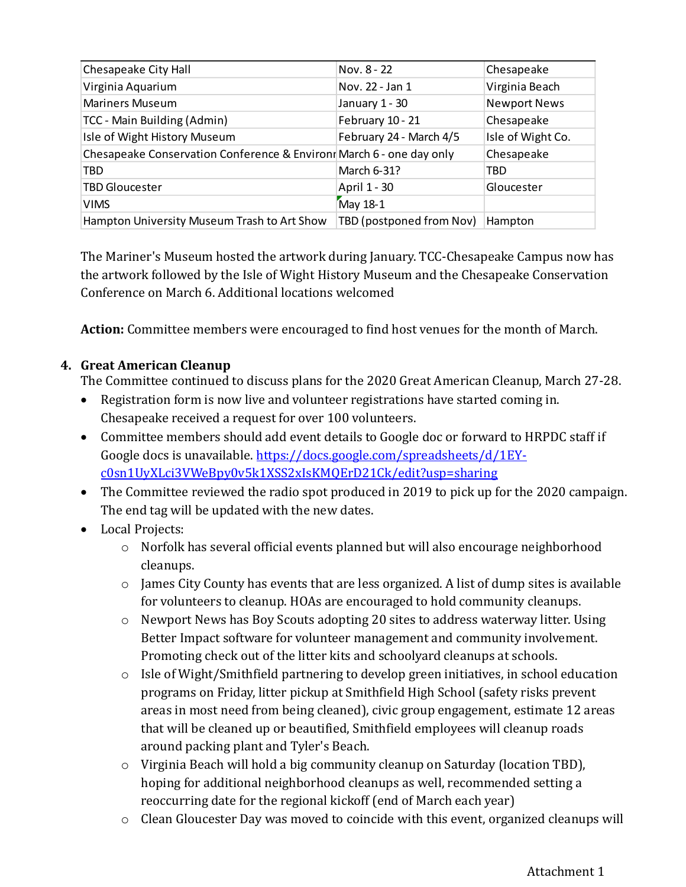| Chesapeake City Hall                                                 | Nov. 8 - 22              | Chesapeake          |
|----------------------------------------------------------------------|--------------------------|---------------------|
| Virginia Aquarium                                                    | Nov. 22 - Jan 1          | Virginia Beach      |
| <b>Mariners Museum</b>                                               | January 1 - 30           | <b>Newport News</b> |
| TCC - Main Building (Admin)                                          | February 10 - 21         | Chesapeake          |
| Isle of Wight History Museum                                         | February 24 - March 4/5  | Isle of Wight Co.   |
| Chesapeake Conservation Conference & Environr March 6 - one day only |                          | Chesapeake          |
| TBD                                                                  | March 6-31?              | TBD                 |
| <b>TBD Gloucester</b>                                                | April 1 - 30             | Gloucester          |
| <b>VIMS</b>                                                          | May 18-1                 |                     |
| Hampton University Museum Trash to Art Show                          | TBD (postponed from Nov) | Hampton             |

The Mariner's Museum hosted the artwork during January. TCC-Chesapeake Campus now has the artwork followed by the Isle of Wight History Museum and the Chesapeake Conservation Conference on March 6. Additional locations welcomed

**Action:** Committee members were encouraged to find host venues for the month of March.

# **4. Great American Cleanup**

The Committee continued to discuss plans for the 2020 Great American Cleanup, March 27-28.

- Registration form is now live and volunteer registrations have started coming in. Chesapeake received a request for over 100 volunteers.
- Committee members should add event details to Google doc or forward to HRPDC staff if Google docs is unavailable. [https://docs.google.com/spreadsheets/d/1EY](https://docs.google.com/spreadsheets/d/1EY-c0sn1UyXLci3VWeBpy0v5k1XSS2xIsKMQErD21Ck/edit?usp=sharing)[c0sn1UyXLci3VWeBpy0v5k1XSS2xIsKMQErD21Ck/edit?usp=sharing](https://docs.google.com/spreadsheets/d/1EY-c0sn1UyXLci3VWeBpy0v5k1XSS2xIsKMQErD21Ck/edit?usp=sharing)
- The Committee reviewed the radio spot produced in 2019 to pick up for the 2020 campaign. The end tag will be updated with the new dates.
- Local Projects:
	- o Norfolk has several official events planned but will also encourage neighborhood cleanups.
	- o James City County has events that are less organized. A list of dump sites is available for volunteers to cleanup. HOAs are encouraged to hold community cleanups.
	- o Newport News has Boy Scouts adopting 20 sites to address waterway litter. Using Better Impact software for volunteer management and community involvement. Promoting check out of the litter kits and schoolyard cleanups at schools.
	- $\circ$  Isle of Wight/Smithfield partnering to develop green initiatives, in school education programs on Friday, litter pickup at Smithfield High School (safety risks prevent areas in most need from being cleaned), civic group engagement, estimate 12 areas that will be cleaned up or beautified, Smithfield employees will cleanup roads around packing plant and Tyler's Beach.
	- o Virginia Beach will hold a big community cleanup on Saturday (location TBD), hoping for additional neighborhood cleanups as well, recommended setting a reoccurring date for the regional kickoff (end of March each year)
	- o Clean Gloucester Day was moved to coincide with this event, organized cleanups will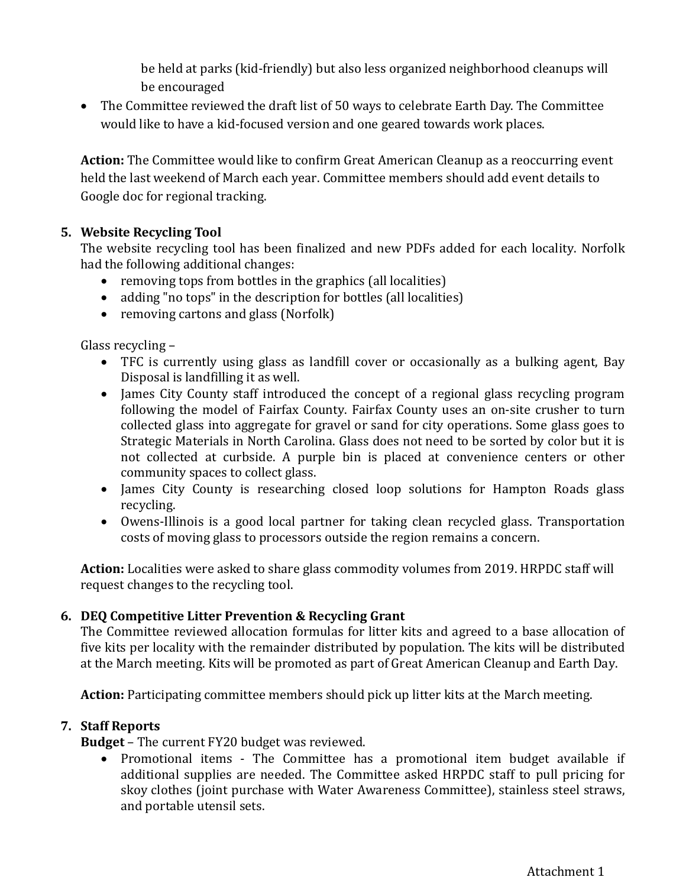be held at parks (kid-friendly) but also less organized neighborhood cleanups will be encouraged

• The Committee reviewed the draft list of 50 ways to celebrate Earth Day. The Committee would like to have a kid-focused version and one geared towards work places.

**Action:** The Committee would like to confirm Great American Cleanup as a reoccurring event held the last weekend of March each year. Committee members should add event details to Google doc for regional tracking.

# **5. Website Recycling Tool**

The website recycling tool has been finalized and new PDFs added for each locality. Norfolk had the following additional changes:

- removing tops from bottles in the graphics (all localities)
- adding "no tops" in the description for bottles (all localities)
- removing cartons and glass (Norfolk)

Glass recycling –

- TFC is currently using glass as landfill cover or occasionally as a bulking agent, Bay Disposal is landfilling it as well.
- James City County staff introduced the concept of a regional glass recycling program following the model of Fairfax County. Fairfax County uses an on-site crusher to turn collected glass into aggregate for gravel or sand for city operations. Some glass goes to Strategic Materials in North Carolina. Glass does not need to be sorted by color but it is not collected at curbside. A purple bin is placed at convenience centers or other community spaces to collect glass.
- James City County is researching closed loop solutions for Hampton Roads glass recycling.
- Owens-Illinois is a good local partner for taking clean recycled glass. Transportation costs of moving glass to processors outside the region remains a concern.

**Action:** Localities were asked to share glass commodity volumes from 2019. HRPDC staff will request changes to the recycling tool.

# **6. DEQ Competitive Litter Prevention & Recycling Grant**

The Committee reviewed allocation formulas for litter kits and agreed to a base allocation of five kits per locality with the remainder distributed by population. The kits will be distributed at the March meeting. Kits will be promoted as part of Great American Cleanup and Earth Day.

**Action:** Participating committee members should pick up litter kits at the March meeting.

## **7. Staff Reports**

**Budget** – The current FY20 budget was reviewed.

• Promotional items - The Committee has a promotional item budget available if additional supplies are needed. The Committee asked HRPDC staff to pull pricing for skoy clothes (joint purchase with Water Awareness Committee), stainless steel straws, and portable utensil sets.